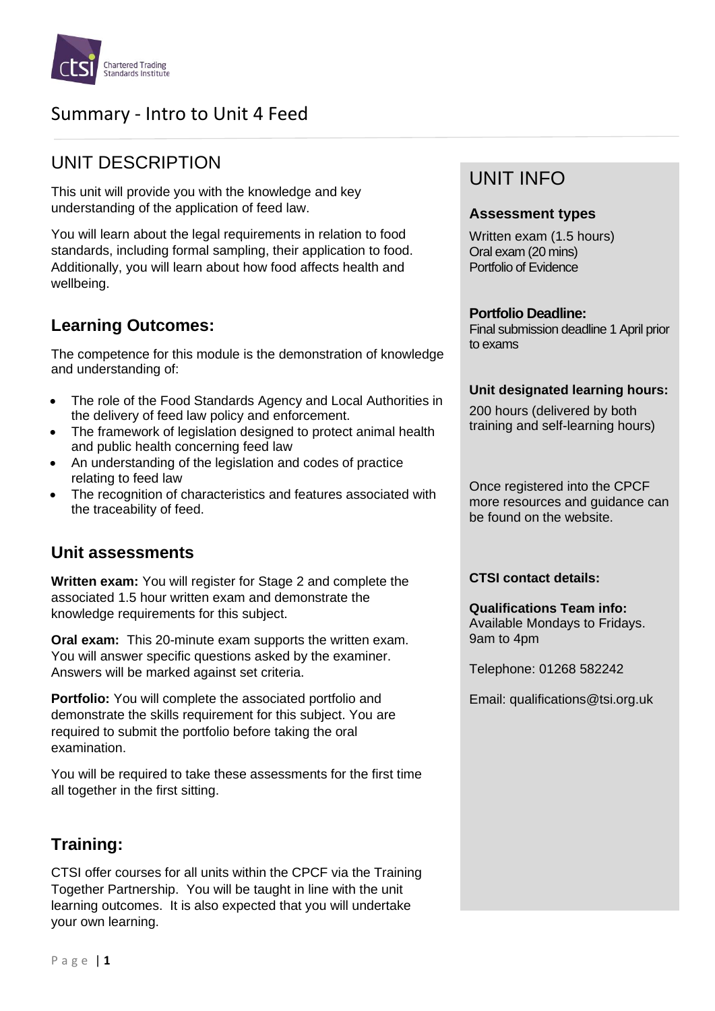

# Summary - Intro to Unit 4 Feed

## UNIT DESCRIPTION

This unit will provide you with the knowledge and key understanding of the application of feed law.

You will learn about the legal requirements in relation to food standards, including formal sampling, their application to food. Additionally, you will learn about how food affects health and wellbeing.

### **Learning Outcomes:**

The competence for this module is the demonstration of knowledge and understanding of:

- The role of the Food Standards Agency and Local Authorities in the delivery of feed law policy and enforcement.
- The framework of legislation designed to protect animal health and public health concerning feed law
- An understanding of the legislation and codes of practice relating to feed law
- The recognition of characteristics and features associated with the traceability of feed.

### **Unit assessments**

**Written exam:** You will register for Stage 2 and complete the associated 1.5 hour written exam and demonstrate the knowledge requirements for this subject.

**Oral exam:** This 20-minute exam supports the written exam. You will answer specific questions asked by the examiner. Answers will be marked against set criteria.

**Portfolio:** You will complete the associated portfolio and demonstrate the skills requirement for this subject. You are required to submit the portfolio before taking the oral examination.

You will be required to take these assessments for the first time all together in the first sitting.

## **Training:**

CTSI offer courses for all units within the CPCF via the Training Together Partnership. You will be taught in line with the unit learning outcomes. It is also expected that you will undertake your own learning.

## UNIT INFO

#### **Assessment types**

Written exam (1.5 hours) Oral exam (20 mins) Portfolio of Evidence

#### **Portfolio Deadline:**

Final submission deadline 1 April prior to exams

#### **Unit designated learning hours:**

200 hours (delivered by both training and self-learning hours)

Once registered into the CPCF more resources and guidance can be found on the website.

#### **CTSI contact details:**

**Qualifications Team info:** Available Mondays to Fridays. 9am to 4pm

Telephone: 01268 582242

Email: qualifications@tsi.org.uk